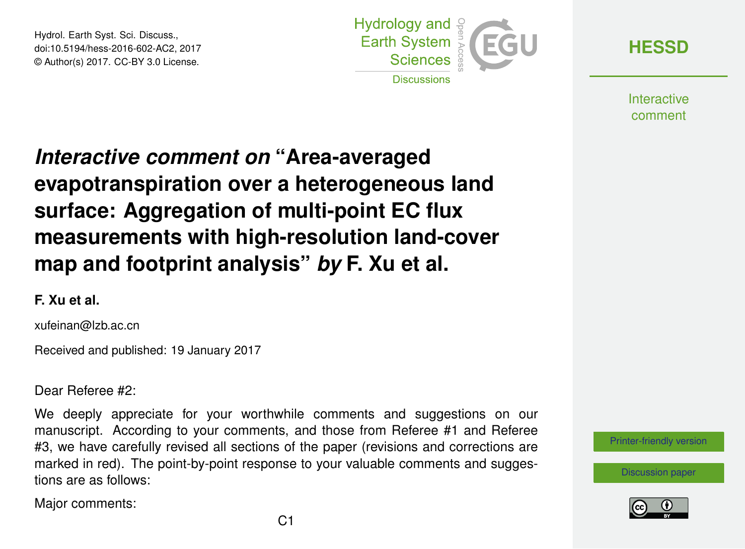Hydrol. Earth Syst. Sci. Discuss., doi:10.5194/hess-2016-602-AC2, 2017 © Author(s) 2017. CC-BY 3.0 License.



**[HESSD](http://www.hydrol-earth-syst-sci-discuss.net/)**

**Interactive** comment

# *Interactive comment on* **"Area-averaged evapotranspiration over a heterogeneous land surface: Aggregation of multi-point EC flux measurements with high-resolution land-cover map and footprint analysis"** *by* **F. Xu et al.**

#### **F. Xu et al.**

xufeinan@lzb.ac.cn

Received and published: 19 January 2017

Dear Referee #2:

We deeply appreciate for your worthwhile comments and suggestions on our manuscript. According to your comments, and those from Referee #1 and Referee #3, we have carefully revised all sections of the paper (revisions and corrections are marked in red). The point-by-point response to your valuable comments and suggestions are as follows:

Major comments:

[Printer-friendly version](http://www.hydrol-earth-syst-sci-discuss.net/hess-2016-602/hess-2016-602-AC2-print.pdf)



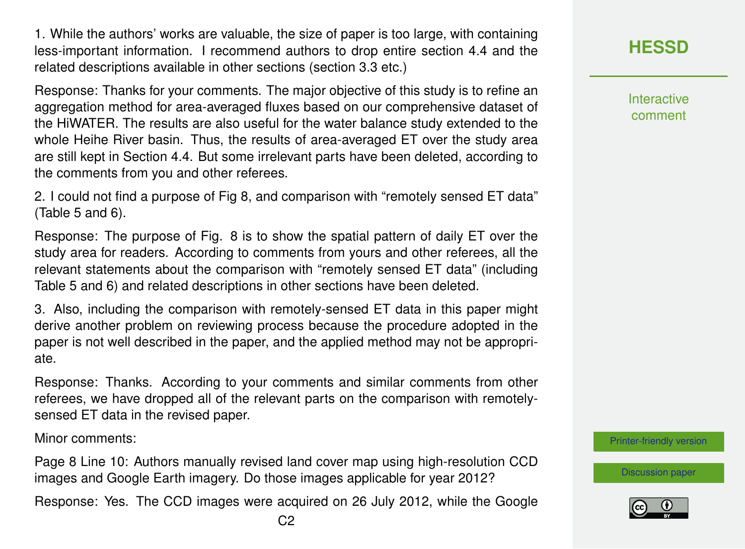1. While the authors' works are valuable, the size of paper is too large, with containing less-important information. I recommend authors to drop entire section 4.4 and the related descriptions available in other sections (section 3.3 etc.)

Response: Thanks for your comments. The major objective of this study is to refine an aggregation method for area-averaged fluxes based on our comprehensive dataset of the HiWATER. The results are also useful for the water balance study extended to the whole Heihe River basin. Thus, the results of area-averaged ET over the study area are still kept in Section 4.4. But some irrelevant parts have been deleted, according to the comments from you and other referees.

2. I could not find a purpose of Fig 8, and comparison with "remotely sensed ET data" (Table 5 and 6).

Response: The purpose of Fig. 8 is to show the spatial pattern of daily ET over the study area for readers. According to comments from yours and other referees, all the relevant statements about the comparison with "remotely sensed ET data" (including Table 5 and 6) and related descriptions in other sections have been deleted.

3. Also, including the comparison with remotely-sensed ET data in this paper might derive another problem on reviewing process because the procedure adopted in the paper is not well described in the paper, and the applied method may not be appropriate.

Response: Thanks. According to your comments and similar comments from other referees, we have dropped all of the relevant parts on the comparison with remotelysensed ET data in the revised paper.

Minor comments:

Page 8 Line 10: Authors manually revised land cover map using high-resolution CCD images and Google Earth imagery. Do those images applicable for year 2012?

Response: Yes. The CCD images were acquired on 26 July 2012, while the Google

Interactive comment

[Printer-friendly version](http://www.hydrol-earth-syst-sci-discuss.net/hess-2016-602/hess-2016-602-AC2-print.pdf)

[Discussion paper](http://www.hydrol-earth-syst-sci-discuss.net/hess-2016-602)

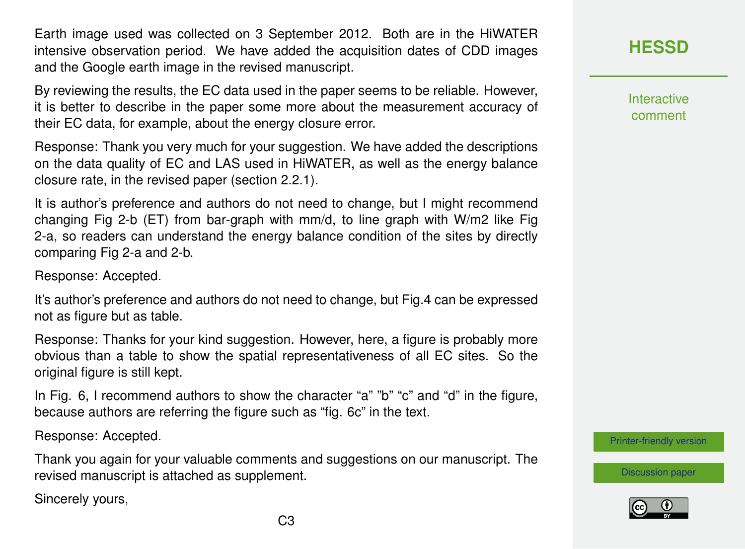Earth image used was collected on 3 September 2012. Both are in the HiWATER intensive observation period. We have added the acquisition dates of CDD images and the Google earth image in the revised manuscript.

By reviewing the results, the EC data used in the paper seems to be reliable. However, it is better to describe in the paper some more about the measurement accuracy of their EC data, for example, about the energy closure error.

Response: Thank you very much for your suggestion. We have added the descriptions on the data quality of EC and LAS used in HiWATER, as well as the energy balance closure rate, in the revised paper (section 2.2.1).

It is author's preference and authors do not need to change, but I might recommend changing Fig 2-b (ET) from bar-graph with mm/d, to line graph with W/m2 like Fig 2-a, so readers can understand the energy balance condition of the sites by directly comparing Fig 2-a and 2-b.

Response: Accepted.

It's author's preference and authors do not need to change, but Fig.4 can be expressed not as figure but as table.

Response: Thanks for your kind suggestion. However, here, a figure is probably more obvious than a table to show the spatial representativeness of all EC sites. So the original figure is still kept.

In Fig. 6, I recommend authors to show the character "a" "b" "c" and "d" in the figure, because authors are referring the figure such as "fig. 6c" in the text.

Response: Accepted.

Thank you again for your valuable comments and suggestions on our manuscript. The revised manuscript is attached as supplement.

Sincerely yours,

### **[HESSD](http://www.hydrol-earth-syst-sci-discuss.net/)**

**Interactive** comment

[Printer-friendly version](http://www.hydrol-earth-syst-sci-discuss.net/hess-2016-602/hess-2016-602-AC2-print.pdf)

[Discussion paper](http://www.hydrol-earth-syst-sci-discuss.net/hess-2016-602)